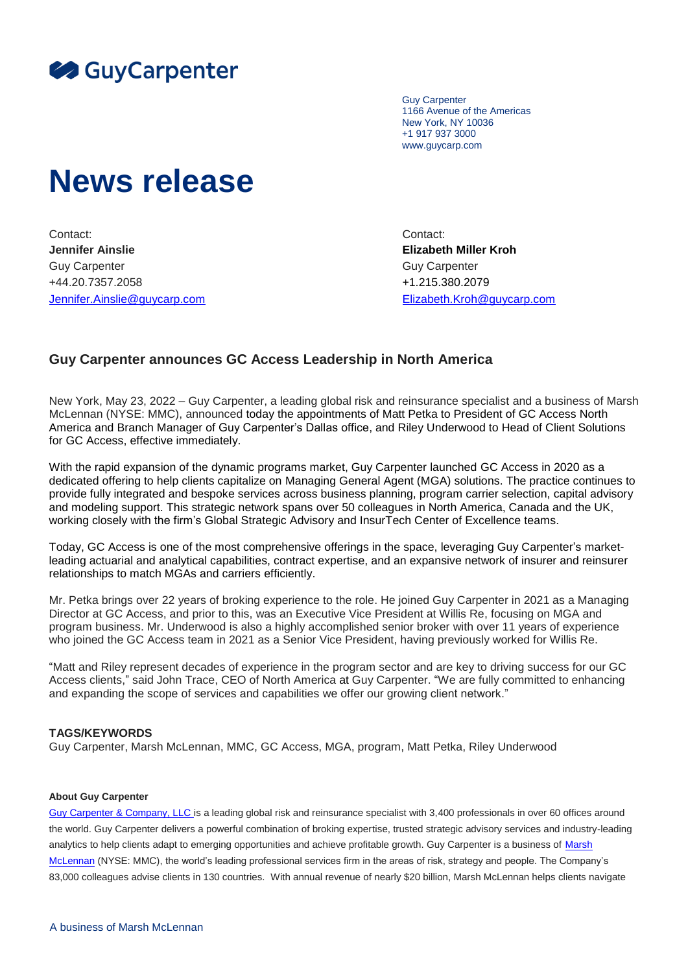

Guy Carpenter 1166 Avenue of the Americas New York, NY 10036 +1 917 937 3000 www.guycarp.com

## **News release**

Contact: **Jennifer Ainslie** Guy Carpenter Guy Carpenter Guy Carpenter Guy Carpenter Guy Carpenter Guy Carpenter +44.20.7357.2058 +1.215.380.2079 [Jennifer.Ainslie@guycarp.com](mailto:Jennifer.Ainslie@guycarp.com) [Elizabeth.Kroh@guycarp.com](mailto:Elizabeth.Kroh@guycarp.com)

Contact: **Elizabeth Miller Kroh**

## **Guy Carpenter announces GC Access Leadership in North America**

New York, May 23, 2022 – Guy Carpenter, a leading global risk and reinsurance specialist and a business of Marsh McLennan (NYSE: MMC), announced today the appointments of Matt Petka to President of GC Access North America and Branch Manager of Guy Carpenter's Dallas office, and Riley Underwood to Head of Client Solutions for GC Access, effective immediately.

With the rapid expansion of the dynamic programs market, Guy Carpenter launched GC Access in 2020 as a dedicated offering to help clients capitalize on Managing General Agent (MGA) solutions. The practice continues to provide fully integrated and bespoke services across business planning, program carrier selection, capital advisory and modeling support. This strategic network spans over 50 colleagues in North America, Canada and the UK, working closely with the firm's Global Strategic Advisory and InsurTech Center of Excellence teams.

Today, GC Access is one of the most comprehensive offerings in the space, leveraging Guy Carpenter's marketleading actuarial and analytical capabilities, contract expertise, and an expansive network of insurer and reinsurer relationships to match MGAs and carriers efficiently.

Mr. Petka brings over 22 years of broking experience to the role. He joined Guy Carpenter in 2021 as a Managing Director at GC Access, and prior to this, was an Executive Vice President at Willis Re, focusing on MGA and program business. Mr. Underwood is also a highly accomplished senior broker with over 11 years of experience who joined the GC Access team in 2021 as a Senior Vice President, having previously worked for Willis Re.

"Matt and Riley represent decades of experience in the program sector and are key to driving success for our GC Access clients," said John Trace, CEO of North America at Guy Carpenter. "We are fully committed to enhancing and expanding the scope of services and capabilities we offer our growing client network."

## **TAGS/KEYWORDS**

Guy Carpenter, Marsh McLennan, MMC, GC Access, MGA, program, Matt Petka, Riley Underwood

## **About Guy Carpenter**

[Guy Carpenter & Company, LLC](http://www.guycarp.com/) is a leading global risk and reinsurance specialist with 3,400 professionals in over 60 offices around the world. Guy Carpenter delivers a powerful combination of broking expertise, trusted strategic advisory services and industry-leading analytics to help clients adapt to emerging opportunities and achieve profitable growth. Guy Carpenter is a business of [Marsh](https://www.marshmclennan.com/)  [McLennan](https://www.marshmclennan.com/) (NYSE: MMC), the world's leading professional services firm in the areas of risk, strategy and people. The Company's 83,000 colleagues advise clients in 130 countries. With annual revenue of nearly \$20 billion, Marsh McLennan helps clients navigate